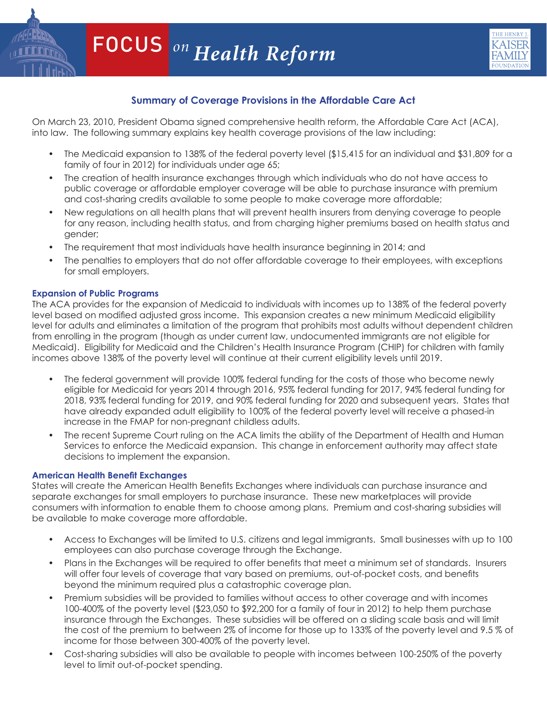

# **Summary of Coverage Provisions in the Affordable Care Act**

On March 23, 2010, President Obama signed comprehensive health reform, the Affordable Care Act (ACA), into law. The following summary explains key health coverage provisions of the law including:

- The Medicaid expansion to 138% of the federal poverty level (\$15,415 for an individual and \$31,809 for a family of four in 2012) for individuals under age 65;
- The creation of health insurance exchanges through which individuals who do not have access to public coverage or affordable employer coverage will be able to purchase insurance with premium and cost-sharing credits available to some people to make coverage more affordable;
- New regulations on all health plans that will prevent health insurers from denying coverage to people for any reason, including health status, and from charging higher premiums based on health status and gender;
- The requirement that most individuals have health insurance beginning in 2014; and
- • The penalties to employers that do not offer affordable coverage to their employees, with exceptions for small employers.

# **Expansion of Public Programs**

The ACA provides for the expansion of Medicaid to individuals with incomes up to 138% of the federal poverty level based on modified adjusted gross income. This expansion creates a new minimum Medicaid eligibility level for adults and eliminates a limitation of the program that prohibits most adults without dependent children from enrolling in the program (though as under current law, undocumented immigrants are not eligible for Medicaid). Eligibility for Medicaid and the Children's Health Insurance Program (CHIP) for children with family incomes above 138% of the poverty level will continue at their current eligibility levels until 2019.

- The federal government will provide 100% federal funding for the costs of those who become newly eligible for Medicaid for years 2014 through 2016, 95% federal funding for 2017, 94% federal funding for 2018, 93% federal funding for 2019, and 90% federal funding for 2020 and subsequent years. States that have already expanded adult eligibility to 100% of the federal poverty level will receive a phased-in increase in the FMAP for non-pregnant childless adults.
- The recent Supreme Court ruling on the ACA limits the ability of the Department of Health and Human Services to enforce the Medicaid expansion. This change in enforcement authority may affect state decisions to implement the expansion.

# **American Health Benefit Exchanges**

States will create the American Health Benefits Exchanges where individuals can purchase insurance and separate exchanges for small employers to purchase insurance. These new marketplaces will provide consumers with information to enable them to choose among plans. Premium and cost-sharing subsidies will be available to make coverage more affordable.

- • Access to Exchanges will be limited to U.S. citizens and legal immigrants. Small businesses with up to 100 employees can also purchase coverage through the Exchange.
- • Plans in the Exchanges will be required to offer benefits that meet a minimum set of standards. Insurers will offer four levels of coverage that vary based on premiums, out-of-pocket costs, and benefits beyond the minimum required plus a catastrophic coverage plan.
- Premium subsidies will be provided to families without access to other coverage and with incomes 100-400% of the poverty level (\$23,050 to \$92,200 for a family of four in 2012) to help them purchase insurance through the Exchanges. These subsidies will be offered on a sliding scale basis and will limit the cost of the premium to between 2% of income for those up to 133% of the poverty level and 9.5 % of income for those between 300-400% of the poverty level.
- Cost-sharing subsidies will also be available to people with incomes between 100-250% of the poverty  $\frac{1}{1000}$  Sand Hill Road Menlo Park, Canadiac Sand Menlo Park, Canadiac Sand Menlo Park, Canadiac Sand Menlo Park, Canadiac Sand Menlo Park, Canadiac Sand Menlo Park, Canadiac Sand Menlo Park, Canadiac Sand Menlo Park, level to limit out-of-pocket spending.